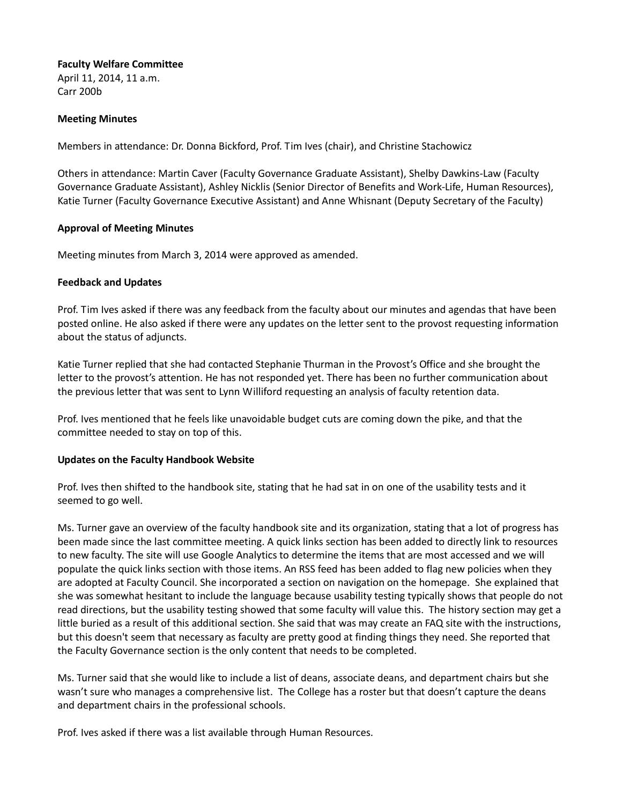## **Faculty Welfare Committee**

April 11, 2014, 11 a.m. Carr 200b

## **Meeting Minutes**

Members in attendance: Dr. Donna Bickford, Prof. Tim Ives (chair), and Christine Stachowicz

Others in attendance: Martin Caver (Faculty Governance Graduate Assistant), Shelby Dawkins-Law (Faculty Governance Graduate Assistant), Ashley Nicklis (Senior Director of Benefits and Work-Life, Human Resources), Katie Turner (Faculty Governance Executive Assistant) and Anne Whisnant (Deputy Secretary of the Faculty)

## **Approval of Meeting Minutes**

Meeting minutes from March 3, 2014 were approved as amended.

## **Feedback and Updates**

Prof. Tim Ives asked if there was any feedback from the faculty about our minutes and agendas that have been posted online. He also asked if there were any updates on the letter sent to the provost requesting information about the status of adjuncts.

Katie Turner replied that she had contacted Stephanie Thurman in the Provost's Office and she brought the letter to the provost's attention. He has not responded yet. There has been no further communication about the previous letter that was sent to Lynn Williford requesting an analysis of faculty retention data.

Prof. Ives mentioned that he feels like unavoidable budget cuts are coming down the pike, and that the committee needed to stay on top of this.

## **Updates on the Faculty Handbook Website**

Prof. Ives then shifted to the handbook site, stating that he had sat in on one of the usability tests and it seemed to go well.

Ms. Turner gave an overview of the faculty handbook site and its organization, stating that a lot of progress has been made since the last committee meeting. A quick links section has been added to directly link to resources to new faculty. The site will use Google Analytics to determine the items that are most accessed and we will populate the quick links section with those items. An RSS feed has been added to flag new policies when they are adopted at Faculty Council. She incorporated a section on navigation on the homepage. She explained that she was somewhat hesitant to include the language because usability testing typically shows that people do not read directions, but the usability testing showed that some faculty will value this. The history section may get a little buried as a result of this additional section. She said that was may create an FAQ site with the instructions, but this doesn't seem that necessary as faculty are pretty good at finding things they need. She reported that the Faculty Governance section is the only content that needs to be completed.

Ms. Turner said that she would like to include a list of deans, associate deans, and department chairs but she wasn't sure who manages a comprehensive list. The College has a roster but that doesn't capture the deans and department chairs in the professional schools.

Prof. Ives asked if there was a list available through Human Resources.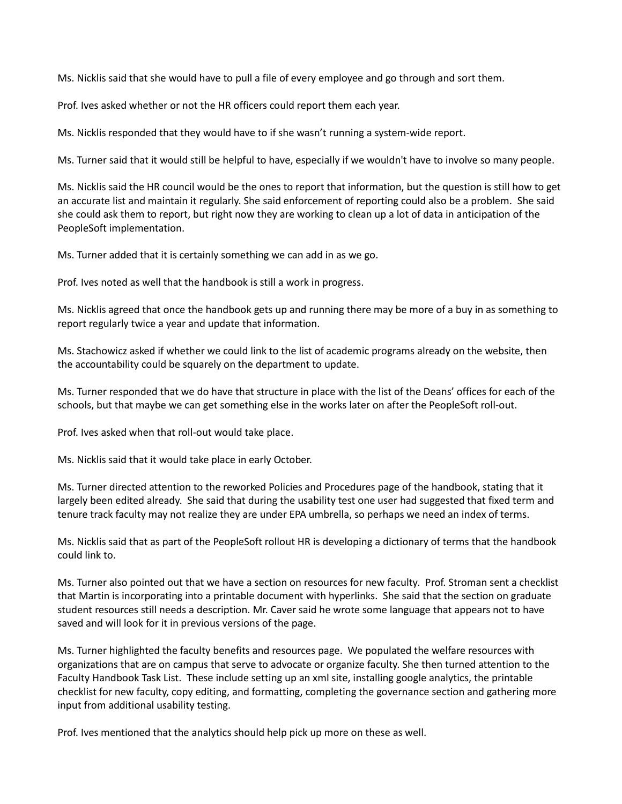Ms. Nicklis said that she would have to pull a file of every employee and go through and sort them.

Prof. Ives asked whether or not the HR officers could report them each year.

Ms. Nicklis responded that they would have to if she wasn't running a system-wide report.

Ms. Turner said that it would still be helpful to have, especially if we wouldn't have to involve so many people.

Ms. Nicklis said the HR council would be the ones to report that information, but the question is still how to get an accurate list and maintain it regularly. She said enforcement of reporting could also be a problem. She said she could ask them to report, but right now they are working to clean up a lot of data in anticipation of the PeopleSoft implementation.

Ms. Turner added that it is certainly something we can add in as we go.

Prof. Ives noted as well that the handbook is still a work in progress.

Ms. Nicklis agreed that once the handbook gets up and running there may be more of a buy in as something to report regularly twice a year and update that information.

Ms. Stachowicz asked if whether we could link to the list of academic programs already on the website, then the accountability could be squarely on the department to update.

Ms. Turner responded that we do have that structure in place with the list of the Deans' offices for each of the schools, but that maybe we can get something else in the works later on after the PeopleSoft roll-out.

Prof. Ives asked when that roll-out would take place.

Ms. Nicklis said that it would take place in early October.

Ms. Turner directed attention to the reworked Policies and Procedures page of the handbook, stating that it largely been edited already. She said that during the usability test one user had suggested that fixed term and tenure track faculty may not realize they are under EPA umbrella, so perhaps we need an index of terms.

Ms. Nicklis said that as part of the PeopleSoft rollout HR is developing a dictionary of terms that the handbook could link to.

Ms. Turner also pointed out that we have a section on resources for new faculty. Prof. Stroman sent a checklist that Martin is incorporating into a printable document with hyperlinks. She said that the section on graduate student resources still needs a description. Mr. Caver said he wrote some language that appears not to have saved and will look for it in previous versions of the page.

Ms. Turner highlighted the faculty benefits and resources page. We populated the welfare resources with organizations that are on campus that serve to advocate or organize faculty. She then turned attention to the Faculty Handbook Task List. These include setting up an xml site, installing google analytics, the printable checklist for new faculty, copy editing, and formatting, completing the governance section and gathering more input from additional usability testing.

Prof. Ives mentioned that the analytics should help pick up more on these as well.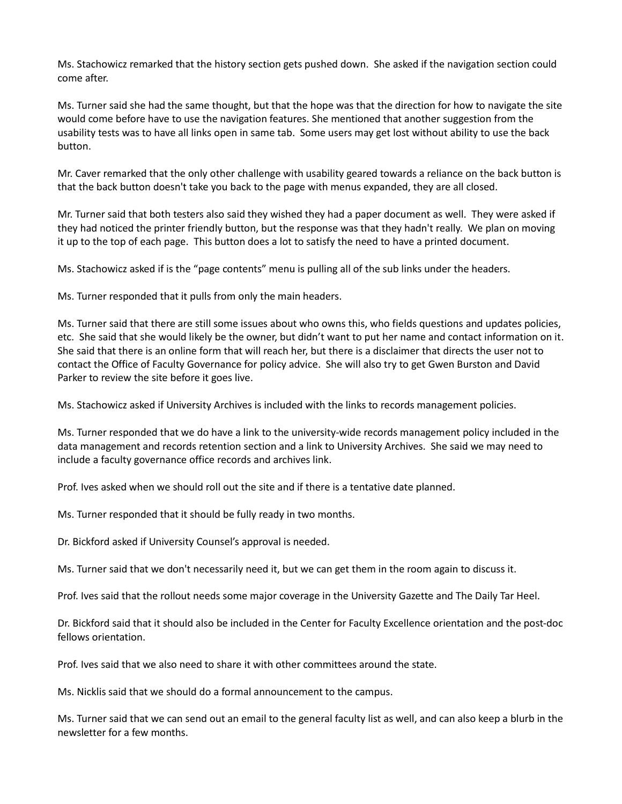Ms. Stachowicz remarked that the history section gets pushed down. She asked if the navigation section could come after.

Ms. Turner said she had the same thought, but that the hope was that the direction for how to navigate the site would come before have to use the navigation features. She mentioned that another suggestion from the usability tests was to have all links open in same tab. Some users may get lost without ability to use the back button.

Mr. Caver remarked that the only other challenge with usability geared towards a reliance on the back button is that the back button doesn't take you back to the page with menus expanded, they are all closed.

Mr. Turner said that both testers also said they wished they had a paper document as well. They were asked if they had noticed the printer friendly button, but the response was that they hadn't really. We plan on moving it up to the top of each page. This button does a lot to satisfy the need to have a printed document.

Ms. Stachowicz asked if is the "page contents" menu is pulling all of the sub links under the headers.

Ms. Turner responded that it pulls from only the main headers.

Ms. Turner said that there are still some issues about who owns this, who fields questions and updates policies, etc. She said that she would likely be the owner, but didn't want to put her name and contact information on it. She said that there is an online form that will reach her, but there is a disclaimer that directs the user not to contact the Office of Faculty Governance for policy advice. She will also try to get Gwen Burston and David Parker to review the site before it goes live.

Ms. Stachowicz asked if University Archives is included with the links to records management policies.

Ms. Turner responded that we do have a link to the university-wide records management policy included in the data management and records retention section and a link to University Archives. She said we may need to include a faculty governance office records and archives link.

Prof. Ives asked when we should roll out the site and if there is a tentative date planned.

Ms. Turner responded that it should be fully ready in two months.

Dr. Bickford asked if University Counsel's approval is needed.

Ms. Turner said that we don't necessarily need it, but we can get them in the room again to discuss it.

Prof. Ives said that the rollout needs some major coverage in the University Gazette and The Daily Tar Heel.

Dr. Bickford said that it should also be included in the Center for Faculty Excellence orientation and the post-doc fellows orientation.

Prof. Ives said that we also need to share it with other committees around the state.

Ms. Nicklis said that we should do a formal announcement to the campus.

Ms. Turner said that we can send out an email to the general faculty list as well, and can also keep a blurb in the newsletter for a few months.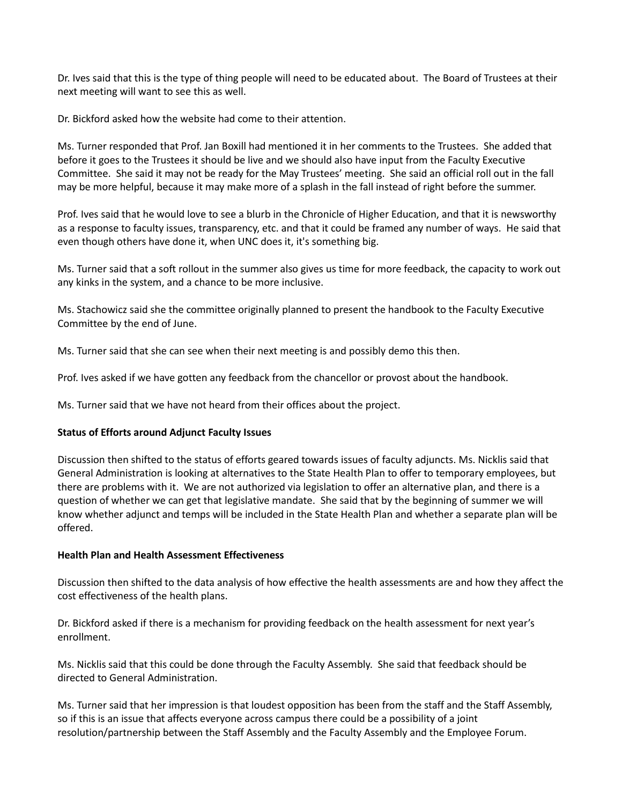Dr. Ives said that this is the type of thing people will need to be educated about. The Board of Trustees at their next meeting will want to see this as well.

Dr. Bickford asked how the website had come to their attention.

Ms. Turner responded that Prof. Jan Boxill had mentioned it in her comments to the Trustees. She added that before it goes to the Trustees it should be live and we should also have input from the Faculty Executive Committee. She said it may not be ready for the May Trustees' meeting. She said an official roll out in the fall may be more helpful, because it may make more of a splash in the fall instead of right before the summer.

Prof. Ives said that he would love to see a blurb in the Chronicle of Higher Education, and that it is newsworthy as a response to faculty issues, transparency, etc. and that it could be framed any number of ways. He said that even though others have done it, when UNC does it, it's something big.

Ms. Turner said that a soft rollout in the summer also gives us time for more feedback, the capacity to work out any kinks in the system, and a chance to be more inclusive.

Ms. Stachowicz said she the committee originally planned to present the handbook to the Faculty Executive Committee by the end of June.

Ms. Turner said that she can see when their next meeting is and possibly demo this then.

Prof. Ives asked if we have gotten any feedback from the chancellor or provost about the handbook.

Ms. Turner said that we have not heard from their offices about the project.

# **Status of Efforts around Adjunct Faculty Issues**

Discussion then shifted to the status of efforts geared towards issues of faculty adjuncts. Ms. Nicklis said that General Administration is looking at alternatives to the State Health Plan to offer to temporary employees, but there are problems with it. We are not authorized via legislation to offer an alternative plan, and there is a question of whether we can get that legislative mandate. She said that by the beginning of summer we will know whether adjunct and temps will be included in the State Health Plan and whether a separate plan will be offered.

## **Health Plan and Health Assessment Effectiveness**

Discussion then shifted to the data analysis of how effective the health assessments are and how they affect the cost effectiveness of the health plans.

Dr. Bickford asked if there is a mechanism for providing feedback on the health assessment for next year's enrollment.

Ms. Nicklis said that this could be done through the Faculty Assembly. She said that feedback should be directed to General Administration.

Ms. Turner said that her impression is that loudest opposition has been from the staff and the Staff Assembly, so if this is an issue that affects everyone across campus there could be a possibility of a joint resolution/partnership between the Staff Assembly and the Faculty Assembly and the Employee Forum.